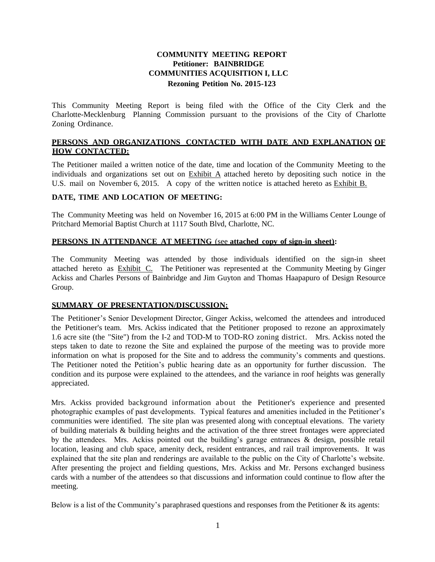# **COMMUNITY MEETING REPORT Petitioner: BAINBRIDGE COMMUNITIES ACQUISITION I, LLC Rezoning Petition No. 2015-123**

This Community Meeting Report is being filed with the Office of the City Clerk and the Charlotte-Mecklenburg Planning Commission pursuant to the provisions of the City of Charlotte Zoning Ordinance.

## **PERSONS AND ORGANIZATIONS CONTACTED WITH DATE AND EXPLANATION OF HOW CONTACTED:**

The Petitioner mailed a written notice of the date, time and location of the Community Meeting to the individuals and organizations set out on Exhibit A attached hereto by depositing such notice in the U.S. mail on November 6, 2015. A copy of the written notice is attached hereto as Exhibit B.

## **DATE, TIME AND LOCATION OF MEETING:**

The Community Meeting was held on November 16, 2015 at 6:00 PM in the Williams Center Lounge of Pritchard Memorial Baptist Church at 1117 South Blvd, Charlotte, NC.

## **PERSONS IN ATTENDANCE AT MEETING** (see **attached copy of sign-in sheet):**

The Community Meeting was attended by those individuals identified on the sign-in sheet attached hereto as Exhibit C. The Petitioner was represented at the Community Meeting by Ginger Ackiss and Charles Persons of Bainbridge and Jim Guyton and Thomas Haapapuro of Design Resource Group.

### **SUMMARY OF PRESENTATION/DISCUSSION:**

The Petitioner's Senior Development Director, Ginger Ackiss, welcomed the attendees and introduced the Petitioner's team. Mrs. Ackiss indicated that the Petitioner proposed to rezone an approximately 1.6 acre site (the "Site") from the I-2 and TOD-M to TOD-RO zoning district. Mrs. Ackiss noted the steps taken to date to rezone the Site and explained the purpose of the meeting was to provide more information on what is proposed for the Site and to address the community's comments and questions. The Petitioner noted the Petition's public hearing date as an opportunity for further discussion. The condition and its purpose were explained to the attendees, and the variance in roof heights was generally appreciated.

Mrs. Ackiss provided background information about the Petitioner's experience and presented photographic examples of past developments. Typical features and amenities included in the Petitioner's communities were identified. The site plan was presented along with conceptual elevations. The variety of building materials & building heights and the activation of the three street frontages were appreciated by the attendees. Mrs. Ackiss pointed out the building's garage entrances & design, possible retail location, leasing and club space, amenity deck, resident entrances, and rail trail improvements. It was explained that the site plan and renderings are available to the public on the City of Charlotte's website. After presenting the project and fielding questions, Mrs. Ackiss and Mr. Persons exchanged business cards with a number of the attendees so that discussions and information could continue to flow after the meeting.

Below is a list of the Community's paraphrased questions and responses from the Petitioner  $\&$  its agents: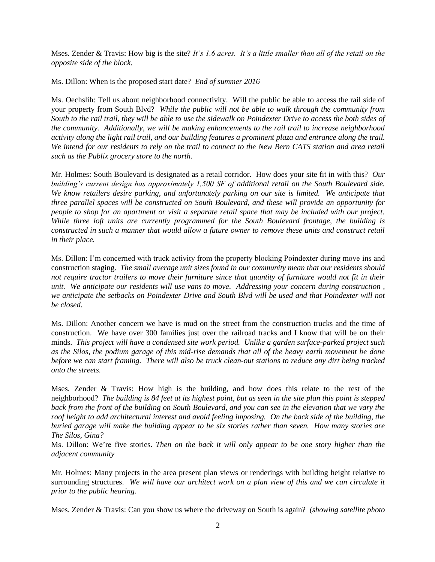Mses. Zender & Travis: How big is the site? *It's 1.6 acres. It's a little smaller than all of the retail on the opposite side of the block.*

Ms. Dillon: When is the proposed start date? *End of summer 2016*

Ms. Oechslih: Tell us about neighborhood connectivity. Will the public be able to access the rail side of your property from South Blvd? *While the public will not be able to walk through the community from South to the rail trail, they will be able to use the sidewalk on Poindexter Drive to access the both sides of the community. Additionally, we will be making enhancements to the rail trail to increase neighborhood activity along the light rail trail, and our building features a prominent plaza and entrance along the trail. We intend for our residents to rely on the trail to connect to the New Bern CATS station and area retail such as the Publix grocery store to the north.*

Mr. Holmes: South Boulevard is designated as a retail corridor. How does your site fit in with this? *Our building's current design has approximately 1,500 SF of additional retail on the South Boulevard side. We know retailers desire parking, and unfortunately parking on our site is limited. We anticipate that three parallel spaces will be constructed on South Boulevard, and these will provide an opportunity for people to shop for an apartment or visit a separate retail space that may be included with our project. While three loft units are currently programmed for the South Boulevard frontage, the building is constructed in such a manner that would allow a future owner to remove these units and construct retail in their place.*

Ms. Dillon: I'm concerned with truck activity from the property blocking Poindexter during move ins and construction staging. *The small average unit sizes found in our community mean that our residents should not require tractor trailers to move their furniture since that quantity of furniture would not fit in their unit. We anticipate our residents will use vans to move. Addressing your concern during construction , we anticipate the setbacks on Poindexter Drive and South Blvd will be used and that Poindexter will not be closed.* 

Ms. Dillon: Another concern we have is mud on the street from the construction trucks and the time of construction. We have over 300 families just over the railroad tracks and I know that will be on their minds. *This project will have a condensed site work period. Unlike a garden surface-parked project such as the Silos, the podium garage of this mid-rise demands that all of the heavy earth movement be done before we can start framing. There will also be truck clean-out stations to reduce any dirt being tracked onto the streets.* 

Mses. Zender & Travis: How high is the building, and how does this relate to the rest of the neighborhood? *The building is 84 feet at its highest point, but as seen in the site plan this point is stepped back from the front of the building on South Boulevard, and you can see in the elevation that we vary the roof height to add architectural interest and avoid feeling imposing. On the back side of the building, the buried garage will make the building appear to be six stories rather than seven. How many stories are The Silos, Gina?* 

Ms. Dillon: We're five stories. *Then on the back it will only appear to be one story higher than the adjacent community*

Mr. Holmes: Many projects in the area present plan views or renderings with building height relative to surrounding structures. *We will have our architect work on a plan view of this and we can circulate it prior to the public hearing.*

Mses. Zender & Travis: Can you show us where the driveway on South is again? *(showing satellite photo*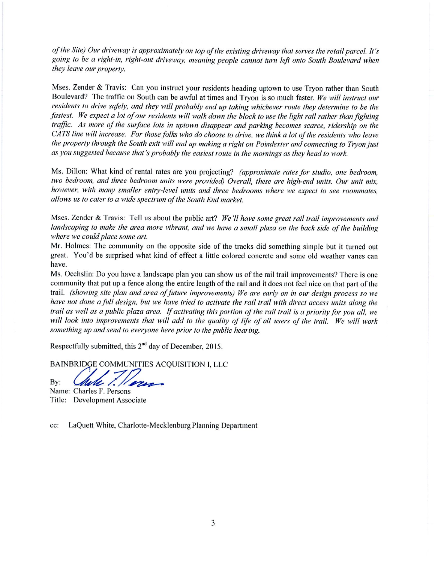of the Site) Our driveway is approximately on top of the existing driveway that serves the retail parcel. It's going to be a right-in, right-out driveway, meaning people cannot turn left onto South Boulevard when they leave our property.

Mses. Zender & Travis: Can you instruct your residents heading uptown to use Tryon rather than South Boulevard? The traffic on South can be awful at times and Tryon is so much faster. We will instruct our residents to drive safely, and they will probably end up taking whichever route they determine to be the fastest. We expect a lot of our residents will walk down the block to use the light rail rather than fighting traffic. As more of the surface lots in uptown disappear and parking becomes scarce, ridership on the CATS line will increase. For those folks who do choose to drive, we think a lot of the residents who leave the property through the South exit will end up making a right on Poindexter and connecting to Tryon just as you suggested because that's probably the easiest route in the mornings as they head to work.

Ms. Dillon: What kind of rental rates are you projecting? (approximate rates for studio, one bedroom, two bedroom, and three bedroom units were provided) Overall, these are high-end units. Our unit mix, however, with many smaller entry-level units and three bedrooms where we expect to see roommates, allows us to cater to a wide spectrum of the South End market.

Mses. Zender & Travis: Tell us about the public art? We'll have some great rail trail improvements and landscaping to make the area more vibrant, and we have a small plaza on the back side of the building where we could place some art.

Mr. Holmes: The community on the opposite side of the tracks did something simple but it turned out great. You'd be surprised what kind of effect a little colored concrete and some old weather vanes can have.

Ms. Oechslin: Do you have a landscape plan you can show us of the rail trail improvements? There is one community that put up a fence along the entire length of the rail and it does not feel nice on that part of the trail. (showing site plan and area of future improvements) We are early on in our design process so we have not done a full design, but we have tried to activate the rail trail with direct access units along the trail as well as a public plaza area. If activating this portion of the rail trail is a priority for you all, we will look into improvements that will add to the quality of life of all users of the trail. We will work something up and send to everyone here prior to the public hearing.

Respectfully submitted, this  $2<sup>nd</sup>$  day of December, 2015.

BAINBRIDGE COMMUNITIES ACQUISITION I, LLC

By:

Mell Name: Charles F. Persons

Title: Development Associate

cc: LaQuett White, Charlotte-Mecklenburg Planning Department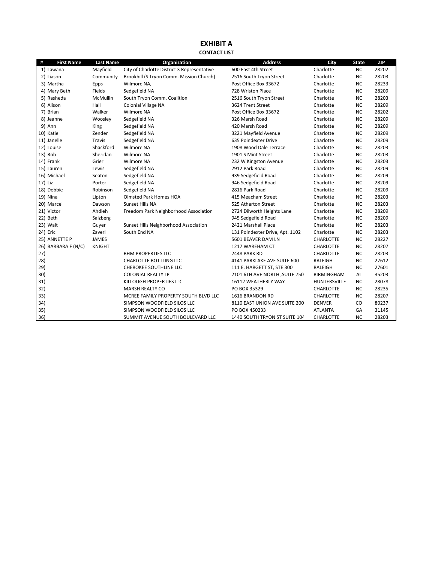#### **EXHIBIT A CONTACT LIST**

| #       | <b>First Name</b>   | <b>Last Name</b> | Organization                                | <b>Address</b>                  | City              | <b>State</b> | <b>ZIP</b> |
|---------|---------------------|------------------|---------------------------------------------|---------------------------------|-------------------|--------------|------------|
|         | 1) Lawana           | Mayfield         | City of Charlotte District 3 Representative | 600 East 4th Street             | Charlotte         | <b>NC</b>    | 28202      |
|         | 2) Liason           | Community        | Brookhill (S Tryon Comm. Mission Church)    | 2516 South Tryon Street         | Charlotte         | <b>NC</b>    | 28203      |
|         | 3) Martha           | Epps             | Wilmore NA,                                 | Post Office Box 33672           | Charlotte         | <b>NC</b>    | 28233      |
|         | 4) Mary Beth        | Fields           | Sedgefield NA                               | 728 Wriston Place               | Charlotte         | <b>NC</b>    | 28209      |
|         | 5) Rasheda          | <b>McMullin</b>  | South Tryon Comm. Coalition                 | 2516 South Tryon Street         | Charlotte         | <b>NC</b>    | 28203      |
|         | 6) Alison           | Hall             | Colonial Village NA                         | 3624 Trent Street               | Charlotte         | <b>NC</b>    | 28209      |
|         | 7) Brian            | Walker           | <b>Wilmore NA</b>                           | Post Office Box 33672           | Charlotte         | <b>NC</b>    | 28202      |
|         | 8) Jeanne           | Woosley          | Sedgefield NA                               | 326 Marsh Road                  | Charlotte         | <b>NC</b>    | 28209      |
|         | 9) Ann              | King             | Sedgefield NA                               | 420 Marsh Road                  | Charlotte         | <b>NC</b>    | 28209      |
|         | 10) Katie           | Zender           | Sedgefield NA                               | 3221 Mayfield Avenue            | Charlotte         | <b>NC</b>    | 28209      |
|         | 11) Janelle         | Travis           | Sedgefield NA                               | 635 Poindexter Drive            | Charlotte         | <b>NC</b>    | 28209      |
|         | 12) Louise          | Shackford        | <b>Wilmore NA</b>                           | 1908 Wood Dale Terrace          | Charlotte         | <b>NC</b>    | 28203      |
|         | 13) Rob             | Sheridan         | <b>Wilmore NA</b>                           | 1901 S Mint Street              | Charlotte         | <b>NC</b>    | 28203      |
|         | 14) Frank           | Grier            | <b>Wilmore NA</b>                           | 232 W Kingston Avenue           | Charlotte         | <b>NC</b>    | 28203      |
|         | 15) Lauren          | Lewis            | Sedgefield NA                               | 2912 Park Road                  | Charlotte         | <b>NC</b>    | 28209      |
|         | 16) Michael         | Seaton           | Sedgefield NA                               | 939 Sedgefield Road             | Charlotte         | NC           | 28209      |
| 17) Liz |                     | Porter           | Sedgefield NA                               | 946 Sedgefield Road             | Charlotte         | <b>NC</b>    | 28209      |
|         | 18) Debbie          | Robinson         | Sedgefield NA                               | 2816 Park Road                  | Charlotte         | <b>NC</b>    | 28209      |
|         | 19) Nina            | Lipton           | Olmsted Park Homes HOA                      | 415 Meacham Street              | Charlotte         | ΝC           | 28203      |
|         | 20) Marcel          | Dawson           | Sunset Hills NA                             | 525 Atherton Street             | Charlotte         | <b>NC</b>    | 28203      |
|         | 21) Victor          | Ahdieh           | Freedom Park Neighborhood Association       | 2724 Dilworth Heights Lane      | Charlotte         | <b>NC</b>    | 28209      |
|         | 22) Beth            | Salzberg         |                                             | 945 Sedgefield Road             | Charlotte         | <b>NC</b>    | 28209      |
|         | 23) Walt            | Guyer            | Sunset Hills Neighborhood Association       | 2421 Marshall Place             | Charlotte         | <b>NC</b>    | 28203      |
|         | 24) Eric            | Zaverl           | South End NA                                | 131 Poindexter Drive, Apt. 1102 | Charlotte         | <b>NC</b>    | 28203      |
|         | 25) ANNETTE P       | <b>JAMES</b>     |                                             | 5601 BEAVER DAM LN              | <b>CHARLOTTE</b>  | ΝC           | 28227      |
|         | 26) BARBARA F (N/C) | <b>KNIGHT</b>    |                                             | 1217 WAREHAM CT                 | CHARLOTTE         | ΝC           | 28207      |
| 27)     |                     |                  | <b>BHM PROPERTIES LLC</b>                   | 2448 PARK RD                    | CHARLOTTE         | <b>NC</b>    | 28203      |
| 28)     |                     |                  | <b>CHARLOTTE BOTTLING LLC</b>               | 4141 PARKLAKE AVE SUITE 600     | <b>RALEIGH</b>    | <b>NC</b>    | 27612      |
| 29)     |                     |                  | <b>CHEROKEE SOUTHLINE LLC</b>               | 111 E. HARGETT ST, STE 300      | RALEIGH           | <b>NC</b>    | 27601      |
| 30)     |                     |                  | <b>COLONIAL REALTY LP</b>                   | 2101 6TH AVE NORTH , SUITE 750  | <b>BIRMINGHAM</b> | AL           | 35203      |
| 31)     |                     |                  | KILLOUGH PROPERTIES LLC                     | 16112 WEATHERLY WAY             | HUNTERSVILLE      | <b>NC</b>    | 28078      |
| 32)     |                     |                  | <b>MARSH REALTY CO</b>                      | PO BOX 35329                    | CHARLOTTE         | <b>NC</b>    | 28235      |
| 33)     |                     |                  | MCREE FAMILY PROPERTY SOUTH BLVD LLC        | 1616 BRANDON RD                 | CHARLOTTE         | <b>NC</b>    | 28207      |
| 34)     |                     |                  | SIMPSON WOODFIELD SILOS LLC                 | 8110 EAST UNION AVE SUITE 200   | <b>DENVER</b>     | CO           | 80237      |
| 35)     |                     |                  | SIMPSON WOODFIELD SILOS LLC                 | PO BOX 450233                   | <b>ATLANTA</b>    | GA           | 31145      |
| 36)     |                     |                  | SUMMIT AVENUE SOUTH BOULEVARD LLC           | 1440 SOUTH TRYON ST SUITE 104   | <b>CHARLOTTE</b>  | <b>NC</b>    | 28203      |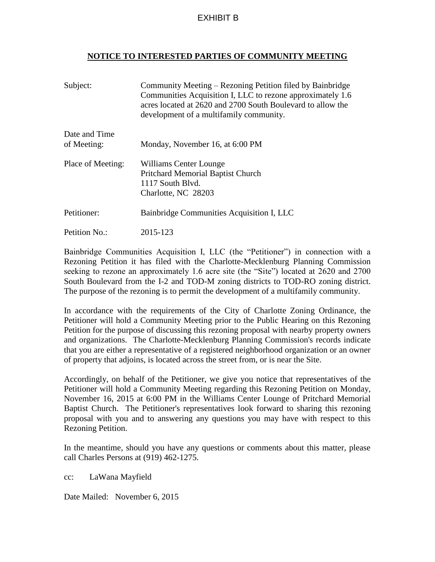# EXHIBIT B

## **NOTICE TO INTERESTED PARTIES OF COMMUNITY MEETING**

| Subject:                     | Community Meeting – Rezoning Petition filed by Bainbridge<br>Communities Acquisition I, LLC to rezone approximately 1.6<br>acres located at 2620 and 2700 South Boulevard to allow the<br>development of a multifamily community. |
|------------------------------|-----------------------------------------------------------------------------------------------------------------------------------------------------------------------------------------------------------------------------------|
| Date and Time<br>of Meeting: | Monday, November 16, at 6:00 PM                                                                                                                                                                                                   |
| Place of Meeting:            | Williams Center Lounge<br><b>Pritchard Memorial Baptist Church</b><br>1117 South Blyd.<br>Charlotte, NC 28203                                                                                                                     |
| Petitioner:                  | Bainbridge Communities Acquisition I, LLC                                                                                                                                                                                         |
| Petition No.:                | 2015-123                                                                                                                                                                                                                          |

Bainbridge Communities Acquisition I, LLC (the "Petitioner") in connection with a Rezoning Petition it has filed with the Charlotte-Mecklenburg Planning Commission seeking to rezone an approximately 1.6 acre site (the "Site") located at 2620 and 2700 South Boulevard from the I-2 and TOD-M zoning districts to TOD-RO zoning district. The purpose of the rezoning is to permit the development of a multifamily community.

In accordance with the requirements of the City of Charlotte Zoning Ordinance, the Petitioner will hold a Community Meeting prior to the Public Hearing on this Rezoning Petition for the purpose of discussing this rezoning proposal with nearby property owners and organizations. The Charlotte-Mecklenburg Planning Commission's records indicate that you are either a representative of a registered neighborhood organization or an owner of property that adjoins, is located across the street from, or is near the Site.

Accordingly, on behalf of the Petitioner, we give you notice that representatives of the Petitioner will hold a Community Meeting regarding this Rezoning Petition on Monday, November 16, 2015 at 6:00 PM in the Williams Center Lounge of Pritchard Memorial Baptist Church. The Petitioner's representatives look forward to sharing this rezoning proposal with you and to answering any questions you may have with respect to this Rezoning Petition.

In the meantime, should you have any questions or comments about this matter, please call Charles Persons at (919) 462-1275.

cc: LaWana Mayfield

Date Mailed: November 6, 2015